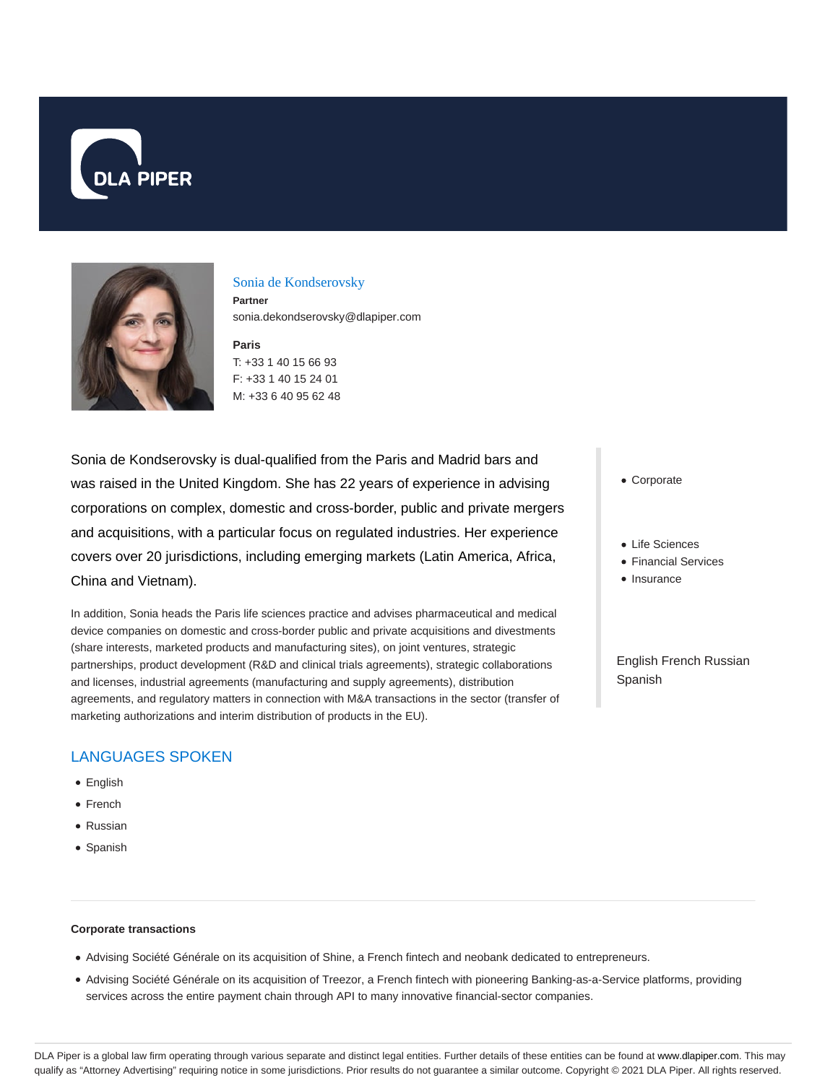



#### Sonia de Kondserovsky

**Partner** sonia.dekondserovsky@dlapiper.com

**Paris** T: +33 1 40 15 66 93 F: +33 1 40 15 24 01 M: +33 6 40 95 62 48

Sonia de Kondserovsky is dual-qualified from the Paris and Madrid bars and was raised in the United Kingdom. She has 22 years of experience in advising corporations on complex, domestic and cross-border, public and private mergers and acquisitions, with a particular focus on regulated industries. Her experience covers over 20 jurisdictions, including emerging markets (Latin America, Africa, China and Vietnam).

In addition, Sonia heads the Paris life sciences practice and advises pharmaceutical and medical device companies on domestic and cross-border public and private acquisitions and divestments (share interests, marketed products and manufacturing sites), on joint ventures, strategic partnerships, product development (R&D and clinical trials agreements), strategic collaborations and licenses, industrial agreements (manufacturing and supply agreements), distribution agreements, and regulatory matters in connection with M&A transactions in the sector (transfer of marketing authorizations and interim distribution of products in the EU).

### Corporate

- Life Sciences
- Financial Services
- Insurance

English French Russian Spanish

## LANGUAGES SPOKEN

- English
- French
- Russian
- Spanish

#### **Corporate transactions**

- Advising Société Générale on its acquisition of Shine, a French fintech and neobank dedicated to entrepreneurs.
- Advising Société Générale on its acquisition of Treezor, a French fintech with pioneering Banking-as-a-Service platforms, providing services across the entire payment chain through API to many innovative financial-sector companies.

DLA Piper is a global law firm operating through various separate and distinct legal entities. Further details of these entities can be found at www.dlapiper.com. This may qualify as "Attorney Advertising" requiring notice in some jurisdictions. Prior results do not guarantee a similar outcome. Copyright © 2021 DLA Piper. All rights reserved.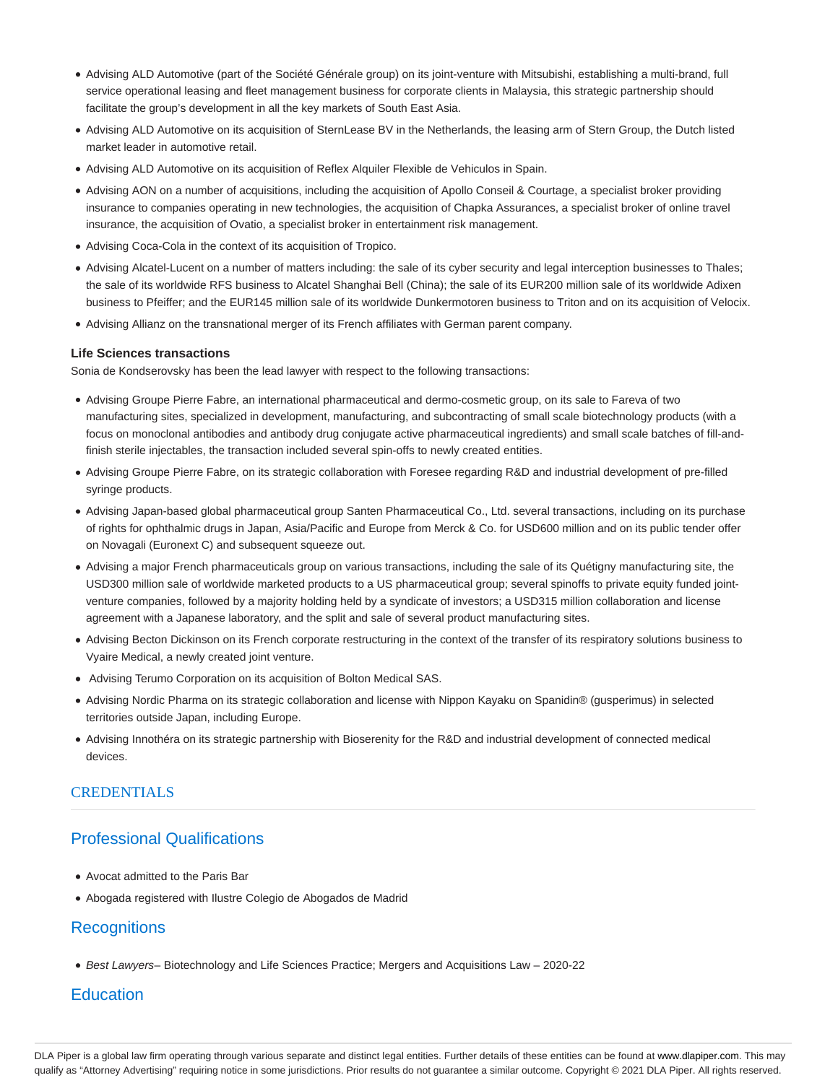- Advising ALD Automotive (part of the Société Générale group) on its joint-venture with Mitsubishi, establishing a multi-brand, full service operational leasing and fleet management business for corporate clients in Malaysia, this strategic partnership should facilitate the group's development in all the key markets of South East Asia.
- Advising ALD Automotive on its acquisition of SternLease BV in the Netherlands, the leasing arm of Stern Group, the Dutch listed market leader in automotive retail.
- Advising ALD Automotive on its acquisition of Reflex Alquiler Flexible de Vehiculos in Spain.
- Advising AON on a number of acquisitions, including the acquisition of Apollo Conseil & Courtage, a specialist broker providing insurance to companies operating in new technologies, the acquisition of Chapka Assurances, a specialist broker of online travel insurance, the acquisition of Ovatio, a specialist broker in entertainment risk management.
- Advising Coca-Cola in the context of its acquisition of Tropico.
- Advising Alcatel-Lucent on a number of matters including: the sale of its cyber security and legal interception businesses to Thales; the sale of its worldwide RFS business to Alcatel Shanghai Bell (China); the sale of its EUR200 million sale of its worldwide Adixen business to Pfeiffer; and the EUR145 million sale of its worldwide Dunkermotoren business to Triton and on its acquisition of Velocix.
- Advising Allianz on the transnational merger of its French affiliates with German parent company.

#### **Life Sciences transactions**

Sonia de Kondserovsky has been the lead lawyer with respect to the following transactions:

- Advising Groupe Pierre Fabre, an international pharmaceutical and dermo-cosmetic group, on its sale to Fareva of two manufacturing sites, specialized in development, manufacturing, and subcontracting of small scale biotechnology products (with a focus on monoclonal antibodies and antibody drug conjugate active pharmaceutical ingredients) and small scale batches of fill-andfinish sterile injectables, the transaction included several spin-offs to newly created entities.
- Advising Groupe Pierre Fabre, on its strategic collaboration with Foresee regarding R&D and industrial development of pre-filled syringe products.
- Advising Japan-based global pharmaceutical group Santen Pharmaceutical Co., Ltd. several transactions, including on its purchase of rights for ophthalmic drugs in Japan, Asia/Pacific and Europe from Merck & Co. for USD600 million and on its public tender offer on Novagali (Euronext C) and subsequent squeeze out.
- Advising a major French pharmaceuticals group on various transactions, including the sale of its Quétigny manufacturing site, the USD300 million sale of worldwide marketed products to a US pharmaceutical group; several spinoffs to private equity funded jointventure companies, followed by a majority holding held by a syndicate of investors; a USD315 million collaboration and license agreement with a Japanese laboratory, and the split and sale of several product manufacturing sites.
- Advising Becton Dickinson on its French corporate restructuring in the context of the transfer of its respiratory solutions business to Vyaire Medical, a newly created joint venture.
- Advising Terumo Corporation on its acquisition of Bolton Medical SAS.
- Advising Nordic Pharma on its strategic collaboration and license with Nippon Kayaku on Spanidin® (gusperimus) in selected territories outside Japan, including Europe.
- Advising Innothéra on its strategic partnership with Bioserenity for the R&D and industrial development of connected medical devices.

### CREDENTIALS

## Professional Qualifications

- Avocat admitted to the Paris Bar
- Abogada registered with Ilustre Colegio de Abogados de Madrid

### **Recognitions**

● Best Lawyers– Biotechnology and Life Sciences Practice; Mergers and Acquisitions Law – 2020-22

## **Education**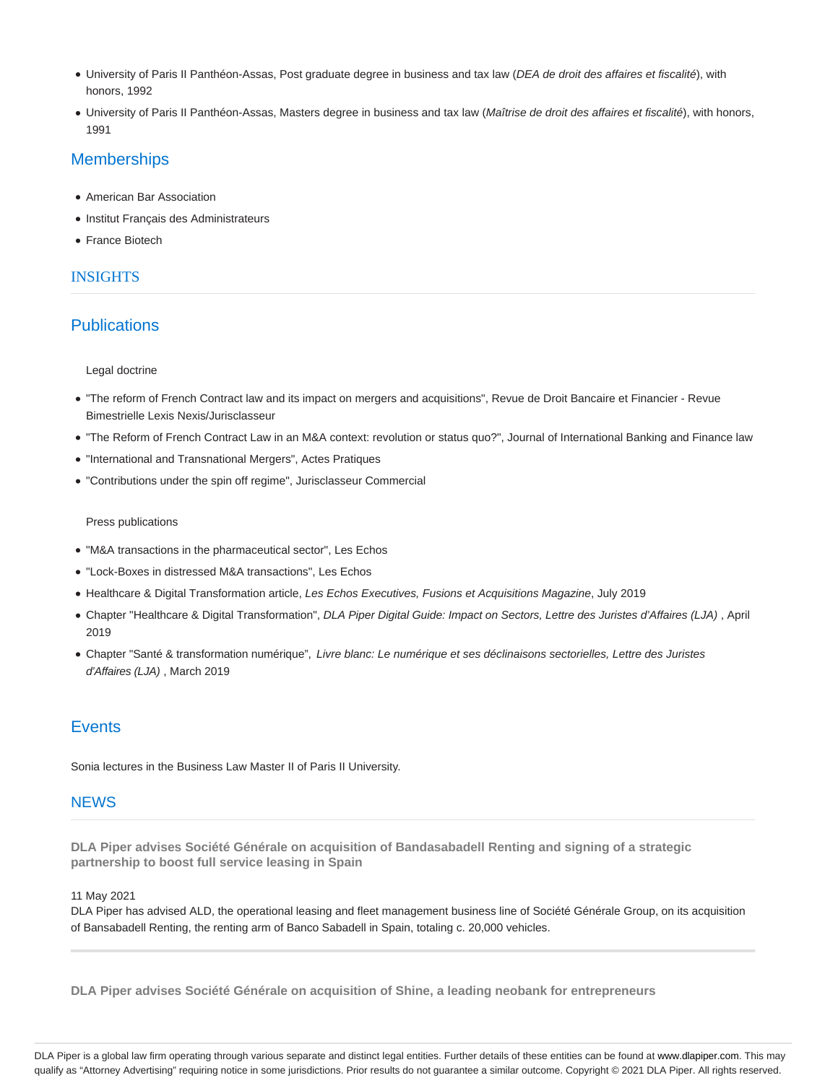- University of Paris II Panthéon-Assas, Post graduate degree in business and tax law (DEA de droit des affaires et fiscalité), with honors, 1992
- · University of Paris II Panthéon-Assas, Masters degree in business and tax law (Maîtrise de droit des affaires et fiscalité), with honors, 1991

### **Memberships**

- American Bar Association
- Institut Français des Administrateurs
- France Biotech

### INSIGHTS

## **Publications**

#### Legal doctrine

- "The reform of French Contract law and its impact on mergers and acquisitions", Revue de Droit Bancaire et Financier Revue Bimestrielle Lexis Nexis/Jurisclasseur
- "The Reform of French Contract Law in an M&A context: revolution or status quo?", Journal of International Banking and Finance law
- "International and Transnational Mergers", Actes Pratiques
- "Contributions under the spin off regime", Jurisclasseur Commercial

#### Press publications

- "M&A transactions in the pharmaceutical sector", Les Echos
- "Lock-Boxes in distressed M&A transactions", Les Echos
- Healthcare & Digital Transformation article, Les Echos Executives, Fusions et Acquisitions Magazine, July 2019
- Chapter "Healthcare & Digital Transformation", DLA Piper Digital Guide: Impact on Sectors, Lettre des Juristes d'Affaires (LJA) , April 2019
- Chapter "Santé & transformation numérique", Livre blanc: Le numérique et ses déclinaisons sectorielles, Lettre des Juristes d'Affaires (LJA) , March 2019

# **Events**

Sonia lectures in the Business Law Master II of Paris II University.

### **NEWS**

**DLA Piper advises Société Générale on acquisition of Bandasabadell Renting and signing of a strategic partnership to boost full service leasing in Spain**

#### 11 May 2021

DLA Piper has advised ALD, the operational leasing and fleet management business line of Société Générale Group, on its acquisition of Bansabadell Renting, the renting arm of Banco Sabadell in Spain, totaling c. 20,000 vehicles.

**DLA Piper advises Société Générale on acquisition of Shine, a leading neobank for entrepreneurs**

DLA Piper is a global law firm operating through various separate and distinct legal entities. Further details of these entities can be found at www.dlapiper.com. This may qualify as "Attorney Advertising" requiring notice in some jurisdictions. Prior results do not guarantee a similar outcome. Copyright © 2021 DLA Piper. All rights reserved.